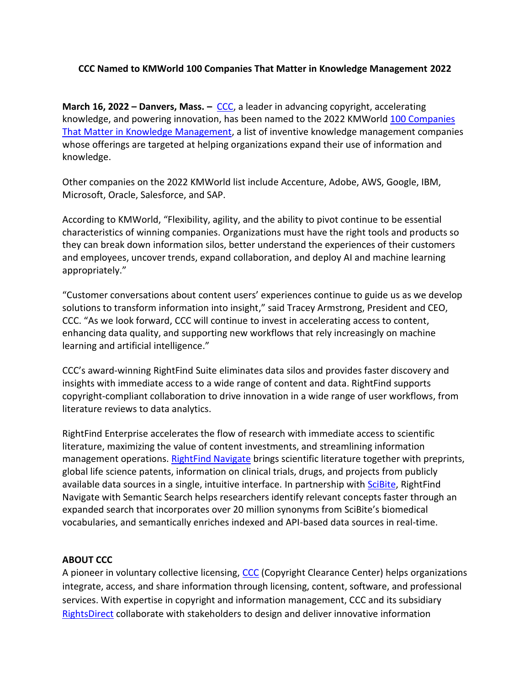## **CCC Named to KMWorld 100 Companies That Matter in Knowledge Management 2022**

**March 16, 2022 – Danvers, Mass. –** [CCC,](http://www.copyright.com/) a leader in advancing copyright, accelerating knowledge, and powering innovation, has been named to the 2022 KMWorld [100 Companies](https://www.kmworld.com/Articles/Editorial/Features/KMWorld-100-Companies-That-Matter-in-Knowledge-Management-2022-150943.aspx)  [That Matter in Knowledge Management,](https://www.kmworld.com/Articles/Editorial/Features/KMWorld-100-Companies-That-Matter-in-Knowledge-Management-2022-150943.aspx) a list of inventive knowledge management companies whose offerings are targeted at helping organizations expand their use of information and knowledge.

Other companies on the 2022 KMWorld list include Accenture, Adobe, AWS, Google, IBM, Microsoft, Oracle, Salesforce, and SAP.

According to KMWorld, "Flexibility, agility, and the ability to pivot continue to be essential characteristics of winning companies. Organizations must have the right tools and products so they can break down information silos, better understand the experiences of their customers and employees, uncover trends, expand collaboration, and deploy AI and machine learning appropriately."

"Customer conversations about content users' experiences continue to guide us as we develop solutions to transform information into insight," said Tracey Armstrong, President and CEO, CCC. "As we look forward, CCC will continue to invest in accelerating access to content, enhancing data quality, and supporting new workflows that rely increasingly on machine learning and artificial intelligence."

CCC's award-winning RightFind Suite eliminates data silos and provides faster discovery and insights with immediate access to a wide range of content and data. RightFind supports copyright-compliant collaboration to drive innovation in a wide range of user workflows, from literature reviews to data analytics.

RightFind Enterprise accelerates the flow of research with immediate access to scientific literature, maximizing the value of content investments, and streamlining information management operations. [RightFind Navigate](https://www.copyright.com/businesses/rightfind-navigate/) brings scientific literature together with preprints, global life science patents, information on clinical trials, drugs, and projects from publicly available data sources in a single, intuitive interface. In partnership with [SciBite,](https://www.scibite.com/) RightFind Navigate with Semantic Search helps researchers identify relevant concepts faster through an expanded search that incorporates over 20 million synonyms from SciBite's biomedical vocabularies, and semantically enriches indexed and API-based data sources in real-time.

## **ABOUT CCC**

A pioneer in voluntary collective licensing, [CCC](http://www.copyright.com/) (Copyright Clearance Center) helps organizations integrate, access, and share information through licensing, content, software, and professional services. With expertise in copyright and information management, CCC and its subsidiary [RightsDirect](http://www.rightsdirect.com/) collaborate with stakeholders to design and deliver innovative information